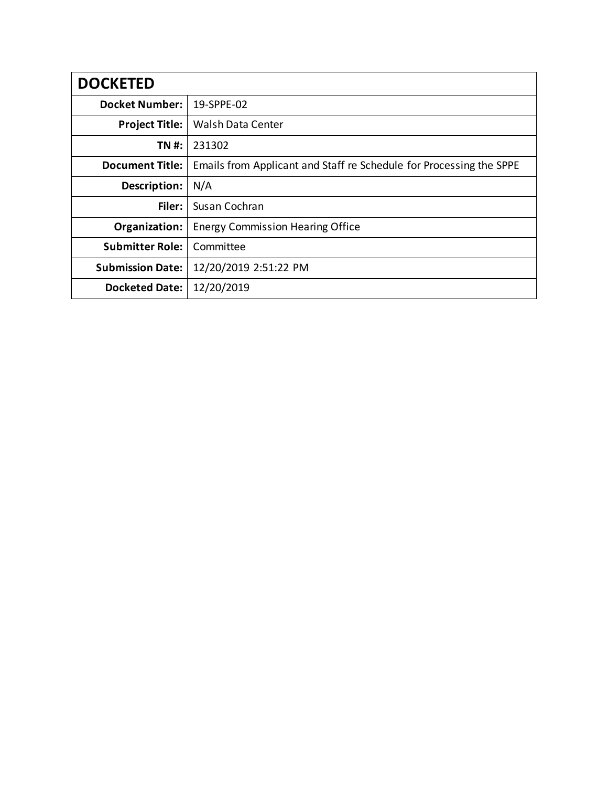| <b>DOCKETED</b>         |                                                                     |
|-------------------------|---------------------------------------------------------------------|
| <b>Docket Number:</b>   | 19-SPPE-02                                                          |
| <b>Project Title:</b>   | Walsh Data Center                                                   |
| TN #:                   | 231302                                                              |
| <b>Document Title:</b>  | Emails from Applicant and Staff re Schedule for Processing the SPPE |
| Description:            | N/A                                                                 |
| Filer:                  | Susan Cochran                                                       |
| Organization:           | <b>Energy Commission Hearing Office</b>                             |
| <b>Submitter Role:</b>  | Committee                                                           |
| <b>Submission Date:</b> | 12/20/2019 2:51:22 PM                                               |
| <b>Docketed Date:</b>   | 12/20/2019                                                          |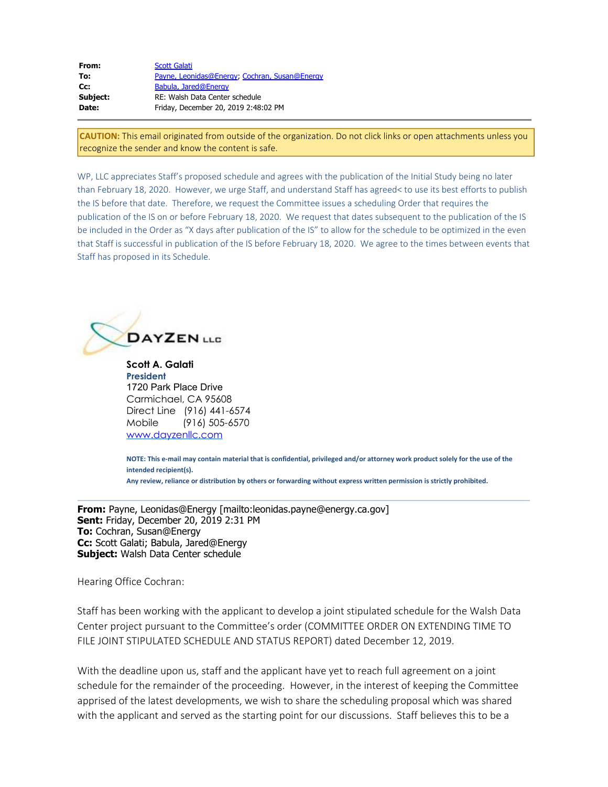| From:    | <b>Scott Galati</b>                           |
|----------|-----------------------------------------------|
| To:      | Payne, Leonidas@Energy, Cochran, Susan@Energy |
| $Cc$ :   | Babula, Jared@Energy                          |
| Subject: | RE: Walsh Data Center schedule                |
| Date:    | Friday, December 20, 2019 2:48:02 PM          |
|          |                                               |

**CAUTION:** This email originated from outside of the organization. Do not click links or open attachments unless you recognize the sender and know the content is safe.

WP, LLC appreciates Staff's proposed schedule and agrees with the publication of the Initial Study being no later than February 18, 2020. However, we urge Staff, and understand Staff has agreed< to use its best efforts to publish the IS before that date. Therefore, we request the Committee issues a scheduling Order that requires the publication of the IS on or before February 18, 2020. We request that dates subsequent to the publication of the IS be included in the Order as "X days after publication of the IS" to allow for the schedule to be optimized in the even that Staff is successful in publication of the IS before February 18, 2020. We agree to the times between events that Staff has proposed in its Schedule.



**Scott A. Galati President** 1720 Park Place Drive Carmichael, CA 95608 Direct Line (916) 441-6574 Mobile (916) 505-6570 [www.dayzenllc.com](https://gcc01.safelinks.protection.outlook.com/?url=http%3A%2F%2Fwww.dayzenllc.com%2F&data=01%7C01%7C%7C86c81e81117a46c6d6e508d7859ea8c9%7Cac3a124413f44ef68d1bbaa27148194e%7C0&sdata=uak2IiKuHev0ilg3GHe5LWUaCqxHSMA22RnhgKUl%2BIM%3D&reserved=0)

**NOTE: This e-mail may contain material that is confidential, privileged and/or attorney work product solely for the use of the intended recipient(s).**

**Any review, reliance or distribution by others or forwarding without express written permission is strictly prohibited.**

**From:** Payne, Leonidas@Energy [mailto:leonidas.payne@energy.ca.gov] **Sent:** Friday, December 20, 2019 2:31 PM **To:** Cochran, Susan@Energy **Cc:** Scott Galati; Babula, Jared@Energy **Subject:** Walsh Data Center schedule

Hearing Office Cochran:

Staff has been working with the applicant to develop a joint stipulated schedule for the Walsh Data Center project pursuant to the Committee's order (COMMITTEE ORDER ON EXTENDING TIME TO FILE JOINT STIPULATED SCHEDULE AND STATUS REPORT) dated December 12, 2019.

With the deadline upon us, staff and the applicant have yet to reach full agreement on a joint schedule for the remainder of the proceeding. However, in the interest of keeping the Committee apprised of the latest developments, we wish to share the scheduling proposal which was shared with the applicant and served as the starting point for our discussions. Staff believes this to be a